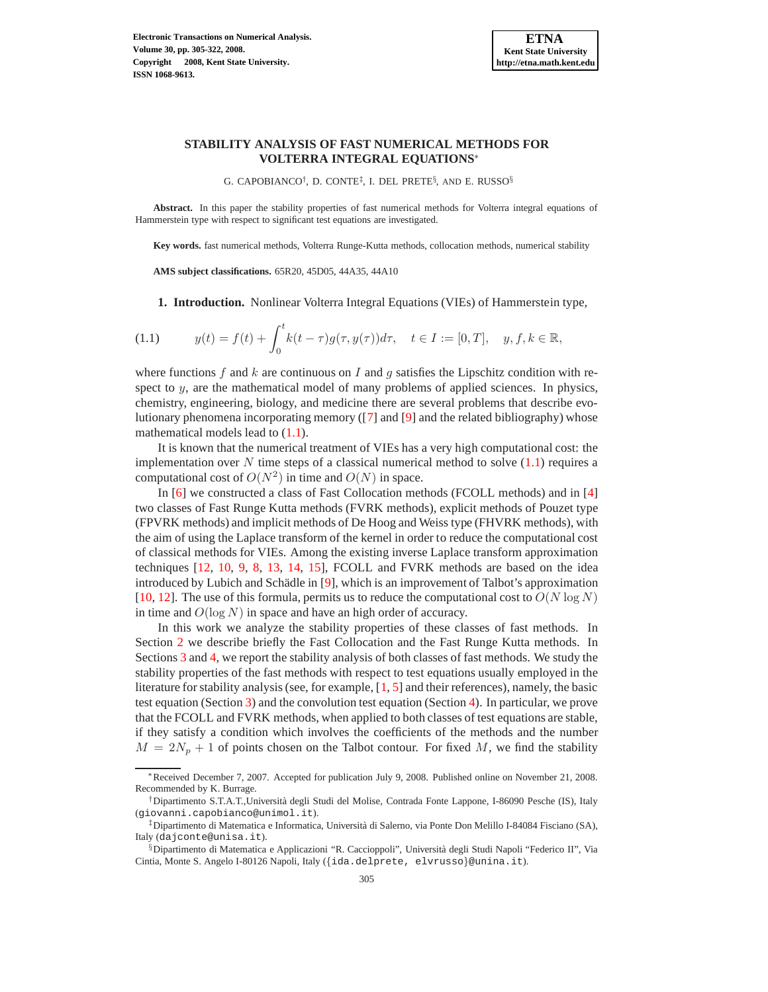# **STABILITY ANALYSIS OF FAST NUMERICAL METHODS FOR VOLTERRA INTEGRAL EQUATIONS**∗

<span id="page-0-0"></span>G. CAPOBIANCO<sup>†</sup>, D. CONTE<sup>‡</sup>, I. DEL PRETE<sup>§</sup>, AND E. RUSSO<sup>§</sup>

**Abstract.** In this paper the stability properties of fast numerical methods for Volterra integral equations of Hammerstein type with respect to significant test equations are investigated.

**Key words.** fast numerical methods, Volterra Runge-Kutta methods, collocation methods, numerical stability

**AMS subject classifications.** 65R20, 45D05, 44A35, 44A10

**1. Introduction.** Nonlinear Volterra Integral Equations (VIEs) of Hammerstein type,

(1.1) 
$$
y(t) = f(t) + \int_0^t k(t - \tau)g(\tau, y(\tau))d\tau, \quad t \in I := [0, T], \quad y, f, k \in \mathbb{R},
$$

where functions f and k are continuous on I and g satisfies the Lipschitz condition with respect to y, are the mathematical model of many problems of applied sciences. In physics, chemistry, engineering, biology, and medicine there are several problems that describe evolutionary phenomena incorporating memory ([\[7\]](#page-17-0) and [\[9\]](#page-17-1) and the related bibliography) whose mathematical models lead to  $(1.1)$ .

It is known that the numerical treatment of VIEs has a very high computational cost: the implementation over N time steps of a classical numerical method to solve  $(1.1)$  requires a computational cost of  $O(N^2)$  in time and  $O(N)$  in space.

In [\[6\]](#page-17-2) we constructed a class of Fast Collocation methods (FCOLL methods) and in [\[4\]](#page-16-0) two classes of Fast Runge Kutta methods (FVRK methods), explicit methods of Pouzet type (FPVRK methods) and implicit methods of De Hoog and Weiss type (FHVRK methods), with the aim of using the Laplace transform of the kernel in order to reduce the computational cost of classical methods for VIEs. Among the existing inverse Laplace transform approximation techniques [\[12,](#page-17-3) [10,](#page-17-4) [9,](#page-17-1) [8,](#page-17-5) [13,](#page-17-6) [14,](#page-17-7) [15\]](#page-17-8), FCOLL and FVRK methods are based on the idea introduced by Lubich and Schädle in [\[9\]](#page-17-1), which is an improvement of Talbot's approximation [\[10,](#page-17-4) [12\]](#page-17-3). The use of this formula, permits us to reduce the computational cost to  $O(N \log N)$ in time and  $O(\log N)$  in space and have an high order of accuracy.

In this work we analyze the stability properties of these classes of fast methods. In Section [2](#page-1-0) we describe briefly the Fast Collocation and the Fast Runge Kutta methods. In Sections [3](#page-5-0) and [4,](#page-8-0) we report the stability analysis of both classes of fast methods. We study the stability properties of the fast methods with respect to test equations usually employed in the literature for stability analysis (see, for example, [\[1,](#page-16-1) [5\]](#page-17-9) and their references), namely, the basic test equation (Section [3\)](#page-5-0) and the convolution test equation (Section [4\)](#page-8-0). In particular, we prove that the FCOLL and FVRK methods, when applied to both classes of test equations are stable, if they satisfy a condition which involves the coefficients of the methods and the number  $M = 2N_p + 1$  of points chosen on the Talbot contour. For fixed M, we find the stability

<sup>∗</sup>Received December 7, 2007. Accepted for publication July 9, 2008. Published online on November 21, 2008. Recommended by K. Burrage.

<sup>†</sup>Dipartimento S.T.A.T.,Universit`a degli Studi del Molise, Contrada Fonte Lappone, I-86090 Pesche (IS), Italy (giovanni.capobianco@unimol.it).

<sup>‡</sup>Dipartimento di Matematica e Informatica, Universit`a di Salerno, via Ponte Don Melillo I-84084 Fisciano (SA), Italy (dajconte@unisa.it).

<sup>§</sup>Dipartimento di Matematica e Applicazioni "R. Caccioppoli", Università degli Studi Napoli "Federico II", Via Cintia, Monte S. Angelo I-80126 Napoli, Italy ({ida.delprete, elvrusso}@unina.it).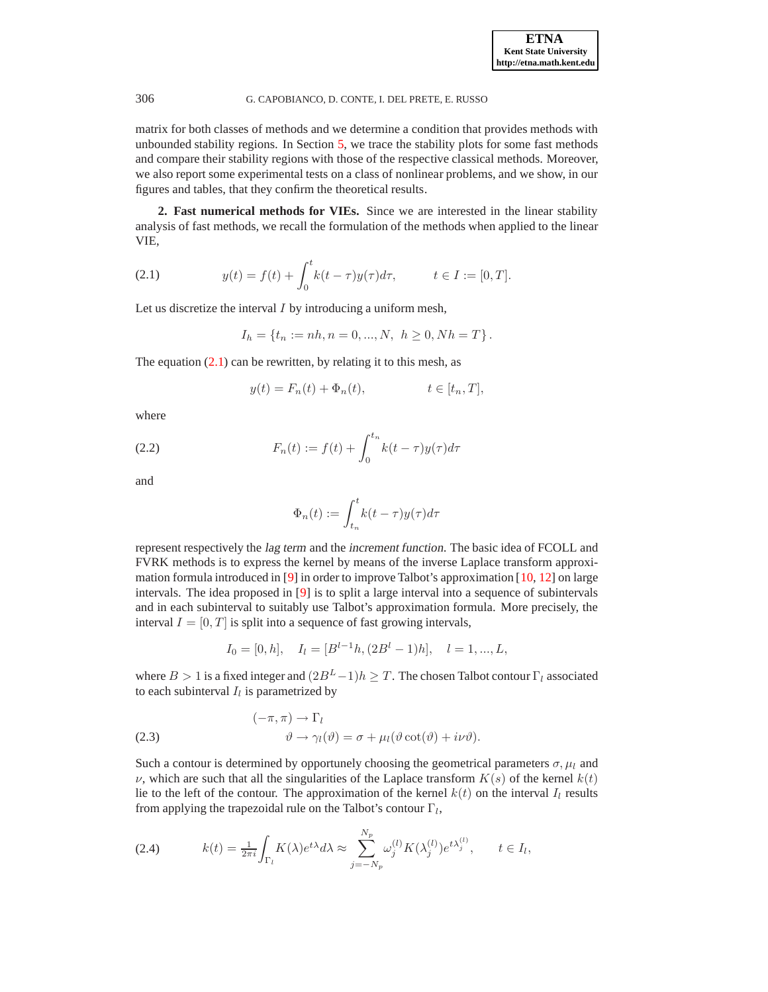matrix for both classes of methods and we determine a condition that provides methods with unbounded stability regions. In Section [5,](#page-11-0) we trace the stability plots for some fast methods and compare their stability regions with those of the respective classical methods. Moreover, we also report some experimental tests on a class of nonlinear problems, and we show, in our figures and tables, that they confirm the theoretical results.

<span id="page-1-1"></span><span id="page-1-0"></span>**2. Fast numerical methods for VIEs.** Since we are interested in the linear stability analysis of fast methods, we recall the formulation of the methods when applied to the linear VIE,

(2.1) 
$$
y(t) = f(t) + \int_0^t k(t - \tau)y(\tau)d\tau, \qquad t \in I := [0, T].
$$

Let us discretize the interval  $I$  by introducing a uniform mesh,

$$
I_h = \{t_n := nh, n = 0, ..., N, \ h \ge 0, Nh = T\}.
$$

The equation  $(2.1)$  can be rewritten, by relating it to this mesh, as

$$
y(t) = F_n(t) + \Phi_n(t), \qquad t \in [t_n, T],
$$

<span id="page-1-4"></span>where

(2.2) 
$$
F_n(t) := f(t) + \int_0^{t_n} k(t - \tau) y(\tau) d\tau
$$

and

$$
\Phi_n(t) := \int_{t_n}^t k(t-\tau)y(\tau)d\tau
$$

represent respectively the lag term and the increment function. The basic idea of FCOLL and FVRK methods is to express the kernel by means of the inverse Laplace transform approximation formula introduced in [\[9\]](#page-17-1) in order to improve Talbot's approximation [\[10,](#page-17-4) [12\]](#page-17-3) on large intervals. The idea proposed in [\[9\]](#page-17-1) is to split a large interval into a sequence of subintervals and in each subinterval to suitably use Talbot's approximation formula. More precisely, the interval  $I = [0, T]$  is split into a sequence of fast growing intervals,

<span id="page-1-3"></span>
$$
I_0 = [0, h], \quad I_l = [B^{l-1}h, (2B^l - 1)h], \quad l = 1, ..., L,
$$

where  $B > 1$  is a fixed integer and  $(2B<sup>L</sup> - 1)h \geq T$ . The chosen Talbot contour  $\Gamma_l$  associated to each subinterval  $I_l$  is parametrized by

<span id="page-1-2"></span>(2.3) 
$$
(-\pi, \pi) \to \Gamma_l
$$

$$
\vartheta \to \gamma_l(\vartheta) = \sigma + \mu_l(\vartheta \cot(\vartheta) + i\nu\vartheta).
$$

Such a contour is determined by opportunely choosing the geometrical parameters  $\sigma$ ,  $\mu_l$  and  $\nu$ , which are such that all the singularities of the Laplace transform  $K(s)$  of the kernel  $k(t)$ lie to the left of the contour. The approximation of the kernel  $k(t)$  on the interval  $I_l$  results from applying the trapezoidal rule on the Talbot's contour  $\Gamma_l$ ,

(2.4) 
$$
k(t) = \frac{1}{2\pi i} \int_{\Gamma_l} K(\lambda) e^{t\lambda} d\lambda \approx \sum_{j=-N_p}^{N_p} \omega_j^{(l)} K(\lambda_j^{(l)}) e^{t\lambda_j^{(l)}}, \quad t \in I_l,
$$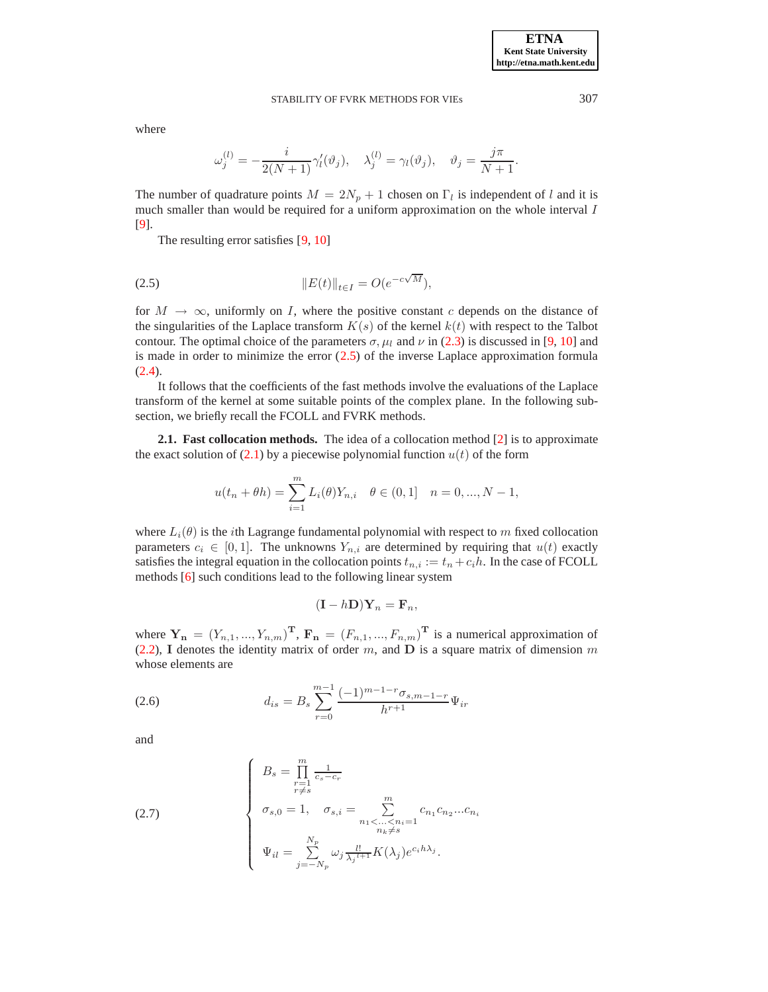where

$$
\omega_j^{(l)} = -\frac{i}{2(N+1)}\gamma_l'(\vartheta_j), \quad \lambda_j^{(l)} = \gamma_l(\vartheta_j), \quad \vartheta_j = \frac{j\pi}{N+1}.
$$

The number of quadrature points  $M = 2N_p + 1$  chosen on  $\Gamma_l$  is independent of l and it is much smaller than would be required for a uniform approximation on the whole interval I [\[9\]](#page-17-1).

The resulting error satisfies [\[9,](#page-17-1) [10\]](#page-17-4)

<span id="page-2-0"></span>(2.5) 
$$
||E(t)||_{t \in I} = O(e^{-c\sqrt{M}}),
$$

for  $M \to \infty$ , uniformly on I, where the positive constant c depends on the distance of the singularities of the Laplace transform  $K(s)$  of the kernel  $k(t)$  with respect to the Talbot contour. The optimal choice of the parameters  $\sigma$ ,  $\mu_l$  and  $\nu$  in [\(2.3\)](#page-1-2) is discussed in [\[9,](#page-17-1) [10\]](#page-17-4) and is made in order to minimize the error  $(2.5)$  of the inverse Laplace approximation formula  $(2.4).$  $(2.4).$ 

It follows that the coefficients of the fast methods involve the evaluations of the Laplace transform of the kernel at some suitable points of the complex plane. In the following subsection, we briefly recall the FCOLL and FVRK methods.

**2.1. Fast collocation methods.** The idea of a collocation method [\[2\]](#page-16-2) is to approximate the exact solution of  $(2.1)$  by a piecewise polynomial function  $u(t)$  of the form

$$
u(t_n + \theta h) = \sum_{i=1}^m L_i(\theta) Y_{n,i} \quad \theta \in (0,1] \quad n = 0, ..., N - 1,
$$

where  $L_i(\theta)$  is the *i*th Lagrange fundamental polynomial with respect to m fixed collocation parameters  $c_i \in [0, 1]$ . The unknowns  $Y_{n,i}$  are determined by requiring that  $u(t)$  exactly satisfies the integral equation in the collocation points  $t_{n,i} := t_n + c_i h$ . In the case of FCOLL methods [\[6\]](#page-17-2) such conditions lead to the following linear system

$$
(\mathbf{I} - h\mathbf{D})\mathbf{Y}_n = \mathbf{F}_n,
$$

where  $\mathbf{Y_n} = (Y_{n,1},..., Y_{n,m})^{\mathbf{T}}, \mathbf{F_n} = (F_{n,1},..., F_{n,m})^{\mathbf{T}}$  is a numerical approximation of [\(2.2\)](#page-1-4), I denotes the identity matrix of order m, and  $D$  is a square matrix of dimension m whose elements are

<span id="page-2-1"></span>(2.6) 
$$
d_{is} = B_s \sum_{r=0}^{m-1} \frac{(-1)^{m-1-r} \sigma_{s,m-1-r}}{h^{r+1}} \Psi_{ir}
$$

<span id="page-2-2"></span>and

(2.7) 
$$
\begin{cases}\nB_s = \prod_{\substack{r=1 \\ r \neq s}}^m \frac{1}{c_s - c_r} \\
\sigma_{s,0} = 1, \quad \sigma_{s,i} = \sum_{\substack{n_1 < \dots < n_i = 1 \\ n_k \neq s}}^m c_{n_1} c_{n_2} ... c_{n_i} \\
\Psi_{il} = \sum_{j=-N_p}^{N_p} \omega_j \frac{l!}{\lambda_j^{l+1}} K(\lambda_j) e^{c_i h \lambda_j}.\n\end{cases}
$$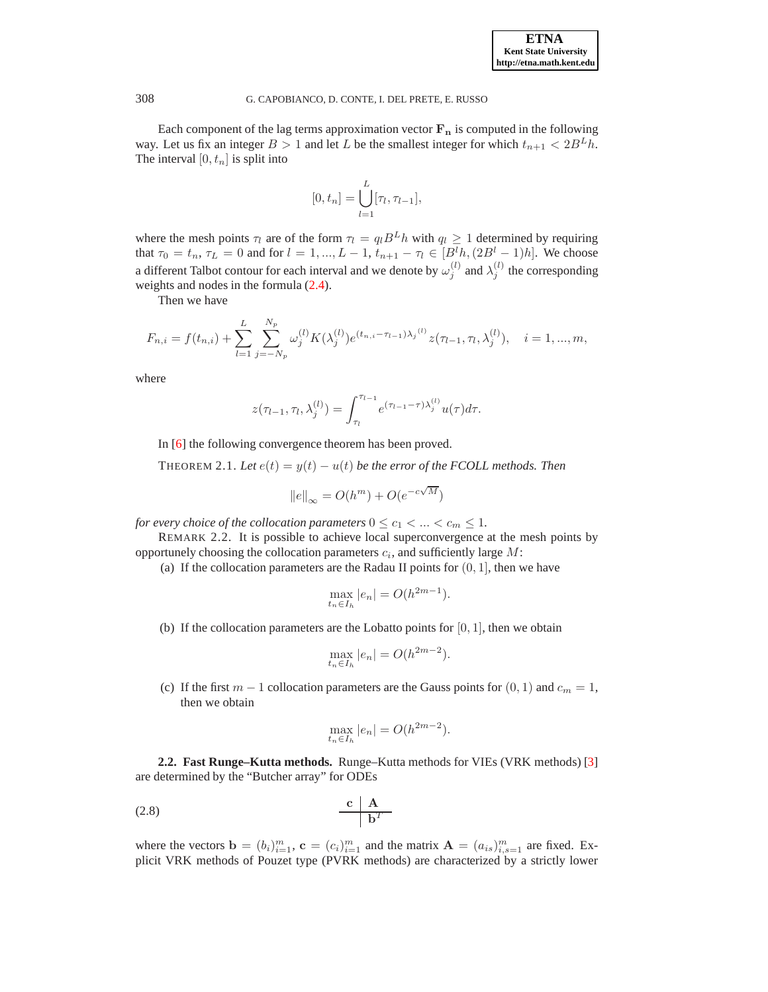Each component of the lag terms approximation vector  $F_n$  is computed in the following way. Let us fix an integer  $B > 1$  and let L be the smallest integer for which  $t_{n+1} < 2B^L h$ . The interval  $[0, t_n]$  is split into

$$
[0, t_n] = \bigcup_{l=1}^{L} [\tau_l, \tau_{l-1}],
$$

where the mesh points  $\tau_l$  are of the form  $\tau_l = q_l B^L h$  with  $q_l \geq 1$  determined by requiring that  $\tau_0 = t_n$ ,  $\tau_L = 0$  and for  $l = 1, ..., L - 1$ ,  $t_{n+1} - \tau_l \in [B^l h, (2B^l - 1)h]$ . We choose a different Talbot contour for each interval and we denote by  $\omega_j^{(l)}$  and  $\lambda_j^{(l)}$  the corresponding weights and nodes in the formula [\(2.4\)](#page-1-3).

Then we have

$$
F_{n,i} = f(t_{n,i}) + \sum_{l=1}^{L} \sum_{j=-N_p}^{N_p} \omega_j^{(l)} K(\lambda_j^{(l)}) e^{(t_{n,i} - \tau_{l-1})\lambda_j^{(l)}} z(\tau_{l-1}, \tau_l, \lambda_j^{(l)}), \quad i = 1, ..., m,
$$

where

$$
z(\tau_{l-1}, \tau_l, \lambda_j^{(l)}) = \int_{\tau_l}^{\tau_{l-1}} e^{(\tau_{l-1} - \tau) \lambda_j^{(l)}} u(\tau) d\tau.
$$

In [\[6\]](#page-17-2) the following convergence theorem has been proved.

THEOREM 2.1. Let  $e(t) = y(t) - u(t)$  be the error of the FCOLL methods. Then

$$
||e||_{\infty} = O(h^m) + O(e^{-c\sqrt{M}})
$$

<span id="page-3-0"></span>*for every choice of the collocation parameters*  $0 \le c_1 < ... < c_m \le 1$ *.* 

REMARK 2.2. It is possible to achieve local superconvergence at the mesh points by opportunely choosing the collocation parameters  $c_i$ , and sufficiently large  $M$ :

(a) If the collocation parameters are the Radau II points for  $(0, 1]$ , then we have

$$
\max_{t_n \in I_h} |e_n| = O(h^{2m-1}).
$$

(b) If the collocation parameters are the Lobatto points for  $[0, 1]$ , then we obtain

$$
\max_{t_n \in I_h} |e_n| = O(h^{2m-2}).
$$

(c) If the first  $m - 1$  collocation parameters are the Gauss points for  $(0, 1)$  and  $c_m = 1$ , then we obtain

<span id="page-3-1"></span>
$$
\max_{t_n \in I_h} |e_n| = O(h^{2m-2}).
$$

**2.2. Fast Runge–Kutta methods.** Runge–Kutta methods for VIEs (VRK methods) [\[3\]](#page-16-3) are determined by the "Butcher array" for ODEs

$$
\begin{array}{c|c}\n\text{c} & \text{A} \\
\hline\n\text{b}^T\n\end{array}
$$

where the vectors  $\mathbf{b} = (b_i)_{i=1}^m$ ,  $\mathbf{c} = (c_i)_{i=1}^m$  and the matrix  $\mathbf{A} = (a_{is})_{i,s=1}^m$  are fixed. Explicit VRK methods of Pouzet type (PVRK methods) are characterized by a strictly lower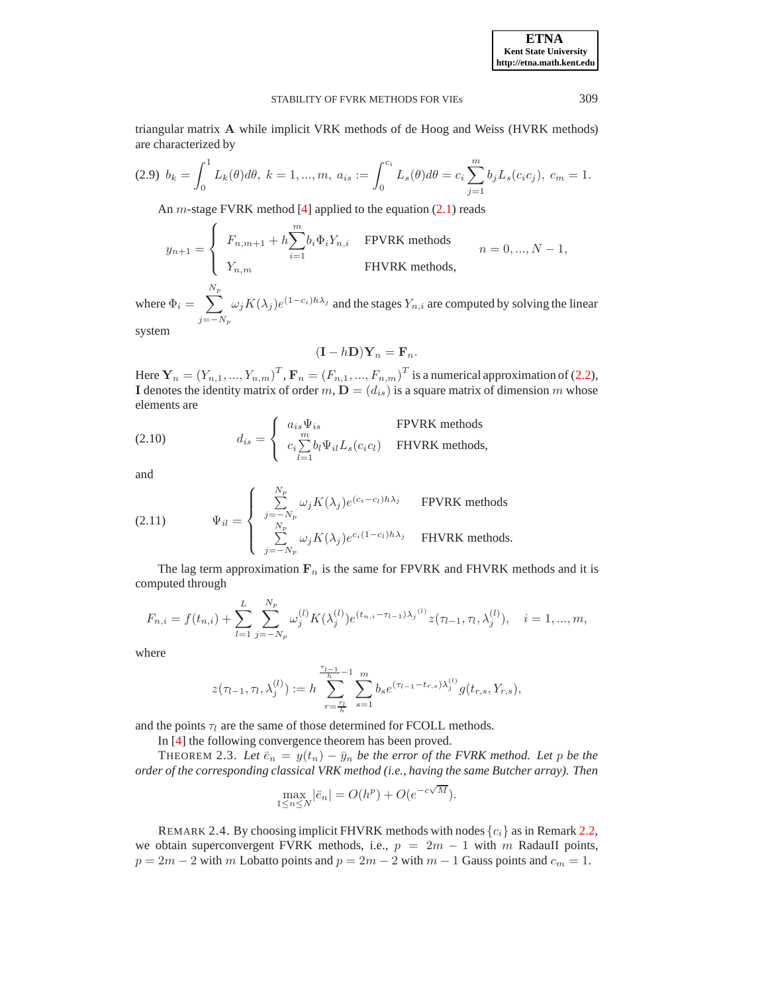<span id="page-4-1"></span>triangular matrix A while implicit VRK methods of de Hoog and Weiss (HVRK methods) are characterized by

$$
(2.9) \ b_k = \int_0^1 L_k(\theta) d\theta, \ k = 1, ..., m, \ a_{is} := \int_0^{c_i} L_s(\theta) d\theta = c_i \sum_{j=1}^m b_j L_s(c_i c_j), \ c_m = 1.
$$

An *m*-stage FVRK method [\[4\]](#page-16-0) applied to the equation  $(2.1)$  reads

$$
y_{n+1} = \begin{cases} F_{n,m+1} + h \sum_{i=1}^{m} b_i \Phi_i Y_{n,i} & \text{FPVRK methods} \\ Y_{n,m} & \text{FHVRK methods,} \end{cases} \qquad n = 0, \dots, N-1,
$$

where  $\Phi_i = \sum$  $N_p$  $j=-N_p$  $\omega_j K(\lambda_j) e^{(1-c_i)h\lambda_j}$  and the stages  $Y_{n,i}$  are computed by solving the linear system

$$
(\mathbf{I} - h\mathbf{D})\mathbf{Y}_n = \mathbf{F}_n.
$$

Here  $\mathbf{Y}_n = (Y_{n,1},...,Y_{n,m})^T$ ,  $\mathbf{F}_n = (F_{n,1},...,F_{n,m})^T$  is a numerical approximation of [\(2.2\)](#page-1-4), I denotes the identity matrix of order  $m, D = (d_{is})$  is a square matrix of dimension m whose elements are

<span id="page-4-0"></span>(2.10) 
$$
d_{is} = \begin{cases} a_{is} \Psi_{is} & \text{FPVRK methods} \\ c_i \sum_{l=1}^m b_l \Psi_{il} L_s(c_i c_l) & \text{FHVRK methods,} \end{cases}
$$

<span id="page-4-2"></span>and

(2.11) 
$$
\Psi_{il} = \begin{cases} \sum_{j=-N_p}^{N_p} \omega_j K(\lambda_j) e^{(c_i - c_l) h \lambda_j} & \text{FPVRK methods} \\ \sum_{j=-N_p}^{N_p} \omega_j K(\lambda_j) e^{c_i (1 - c_l) h \lambda_j} & \text{FHVRK methods.} \end{cases}
$$

The lag term approximation  $F_n$  is the same for FPVRK and FHVRK methods and it is computed through

$$
F_{n,i} = f(t_{n,i}) + \sum_{l=1}^{L} \sum_{j=-N_p}^{N_p} \omega_j^{(l)} K(\lambda_j^{(l)}) e^{(t_{n,i} - \tau_{l-1})\lambda_j^{(l)}} z(\tau_{l-1}, \tau_l, \lambda_j^{(l)}), \quad i = 1, ..., m,
$$

where

$$
z(\tau_{l-1},\tau_l,\lambda_j^{(l)}):=h\sum_{r=\frac{\tau_l}{h}}^{\frac{\tau_{l-1}}{h}-1}\sum_{s=1}^m b_s e^{(\tau_{l-1}-t_{r,s})\lambda_j^{(l)}}g(t_{r,s},Y_{r,s}),
$$

and the points  $\tau_l$  are the same of those determined for FCOLL methods.

In [\[4\]](#page-16-0) the following convergence theorem has been proved.

THEOREM 2.3. Let  $\bar{e}_n = y(t_n) - \bar{y}_n$  *be the error of the FVRK method. Let* p *be the order of the corresponding classical VRK method (i.e., having the same Butcher array). Then*

$$
\max_{1 \le n \le N} |\bar{e}_n| = O(h^p) + O(e^{-c\sqrt{M}}).
$$

REMARK 2.4. By choosing implicit FHVRK methods with nodes  $\{c_i\}$  as in Remark [2.2,](#page-3-0) we obtain superconvergent FVRK methods, i.e.,  $p = 2m - 1$  with m RadauII points,  $p = 2m - 2$  with m Lobatto points and  $p = 2m - 2$  with  $m - 1$  Gauss points and  $c_m = 1$ .

**ETNA Kent State University http://etna.math.kent.edu**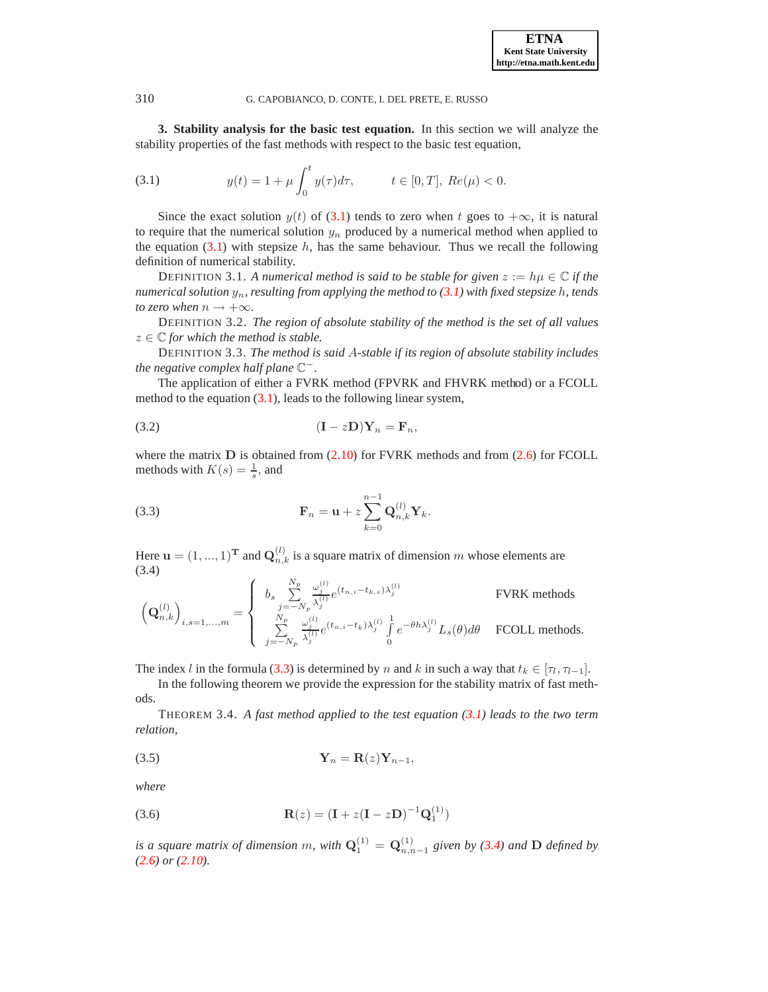<span id="page-5-1"></span><span id="page-5-0"></span>**3. Stability analysis for the basic test equation.** In this section we will analyze the stability properties of the fast methods with respect to the basic test equation,

(3.1) 
$$
y(t) = 1 + \mu \int_0^t y(\tau) d\tau, \qquad t \in [0, T], \ Re(\mu) < 0.
$$

Since the exact solution  $y(t)$  of [\(3.1\)](#page-5-1) tends to zero when t goes to  $+\infty$ , it is natural to require that the numerical solution  $y_n$  produced by a numerical method when applied to the equation  $(3.1)$  with stepsize h, has the same behaviour. Thus we recall the following definition of numerical stability.

<span id="page-5-6"></span>DEFINITION 3.1. A numerical method is said to be stable for given  $z := h\mu \in \mathbb{C}$  if the *numerical solution* yn*, resulting from applying the method to [\(3.1\)](#page-5-1) with fixed stepsize* h*, tends to zero when*  $n \rightarrow +\infty$ *.* 

DEFINITION 3.2. *The region of absolute stability of the method is the set of all values*  $z \in \mathbb{C}$  *for which the method is stable.* 

DEFINITION 3.3. *The method is said* A*-stable if its region of absolute stability includes fhe negative complex half plane*  $\mathbb{C}^-$ .

<span id="page-5-4"></span>The application of either a FVRK method (FPVRK and FHVRK method) or a FCOLL method to the equation [\(3.1\)](#page-5-1), leads to the following linear system,

$$
(3.2) \qquad \qquad (\mathbf{I} - z\mathbf{D})\mathbf{Y}_n = \mathbf{F}_n,
$$

<span id="page-5-2"></span>where the matrix  $D$  is obtained from  $(2.10)$  for FVRK methods and from  $(2.6)$  for FCOLL methods with  $K(s) = \frac{1}{s}$ , and

(3.3) 
$$
\mathbf{F}_n = \mathbf{u} + z \sum_{k=0}^{n-1} \mathbf{Q}_{n,k}^{(l)} \mathbf{Y}_k.
$$

Here  $\mathbf{u} = (1, ..., 1)^\mathbf{T}$  and  $\mathbf{Q}_{n,k}^{(l)}$  is a square matrix of dimension m whose elements are (3.4)

<span id="page-5-3"></span>
$$
\label{eq:Qn} \left(\mathbf{Q}_{n,k}^{(l)}\right)_{i,s=1,...,m} = \left\{ \begin{array}{ll} b_s \sum\limits_{j=-N_p}^{N_p} \frac{\omega_j^{(l)}}{\lambda_j^{(l)}} e^{(t_{n,i}-t_{k,s})\lambda_j^{(l)}} & \text{FVRK methods} \\ \sum\limits_{j=-N_p}^{N_p} \frac{\omega_j^{(l)}}{\lambda_j^{(l)}} e^{(t_{n,i}-t_k)\lambda_j^{(l)}} \int\limits_0^1 e^{-\theta h \lambda_j^{(l)}} L_s(\theta) d\theta & \text{FCOLL methods}. \end{array} \right.
$$

The index l in the formula [\(3.3\)](#page-5-2) is determined by n and k in such a way that  $t_k \in [\tau_1, \tau_{l-1}]$ .

<span id="page-5-5"></span>In the following theorem we provide the expression for the stability matrix of fast methods.

<span id="page-5-8"></span>THEOREM 3.4. *A fast method applied to the test equation [\(3.1\)](#page-5-1) leads to the two term relation,*

$$
\mathbf{Y}_n = \mathbf{R}(z)\mathbf{Y}_{n-1},
$$

<span id="page-5-7"></span>*where*

(3.6) 
$$
\mathbf{R}(z) = (\mathbf{I} + z(\mathbf{I} - z\mathbf{D})^{-1}\mathbf{Q}_1^{(1)})
$$

*is a square matrix of dimension* m, with  $Q_1^{(1)} = Q_{n,n-1}^{(1)}$  given by [\(3.4\)](#page-5-3) and D *defined by [\(2.6\)](#page-2-1) or [\(2.10\)](#page-4-0).*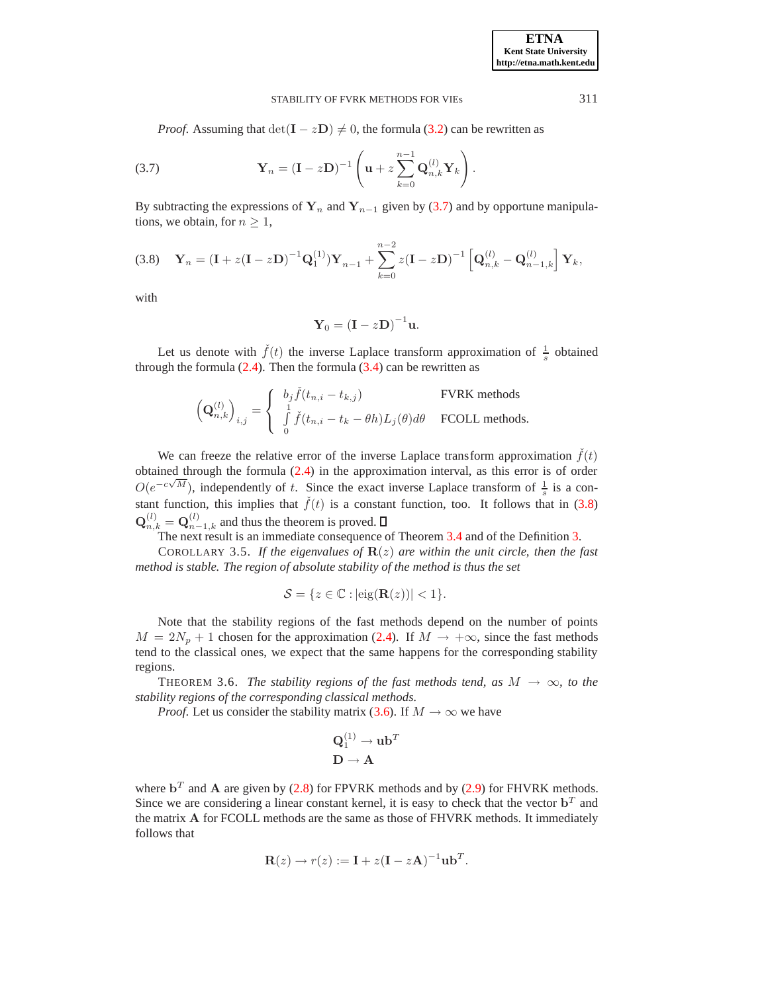*Proof.* Assuming that  $det(\mathbf{I} - z\mathbf{D}) \neq 0$ , the formula [\(3.2\)](#page-5-4) can be rewritten as

(3.7) 
$$
\mathbf{Y}_n = (\mathbf{I} - z\mathbf{D})^{-1} \left( \mathbf{u} + z \sum_{k=0}^{n-1} \mathbf{Q}_{n,k}^{(l)} \mathbf{Y}_k \right).
$$

<span id="page-6-1"></span>By subtracting the expressions of  $Y_n$  and  $Y_{n-1}$  given by [\(3.7\)](#page-6-0) and by opportune manipulations, we obtain, for  $n \geq 1$ ,

(3.8) 
$$
\mathbf{Y}_n = (\mathbf{I} + z(\mathbf{I} - z\mathbf{D})^{-1}\mathbf{Q}_1^{(1)})\mathbf{Y}_{n-1} + \sum_{k=0}^{n-2} z(\mathbf{I} - z\mathbf{D})^{-1} \left[ \mathbf{Q}_{n,k}^{(l)} - \mathbf{Q}_{n-1,k}^{(l)} \right] \mathbf{Y}_k,
$$

with

$$
\mathbf{Y}_0 = (\mathbf{I} - z\mathbf{D})^{-1}\mathbf{u}.
$$

Let us denote with  $\check{f}(t)$  the inverse Laplace transform approximation of  $\frac{1}{s}$  obtained through the formula  $(2.4)$ . Then the formula  $(3.4)$  can be rewritten as

$$
\label{eq:Qn} \left(\mathbf{Q}_{n,k}^{(l)}\right)_{i,j} = \left\{ \begin{array}{ll} b_j \check{f}(t_{n,i}-t_{k,j}) & \text{FVRK methods} \\ \int\limits_{0}^{1} \check{f}(t_{n,i}-t_{k}-\theta h) L_j(\theta) d\theta & \text{FCOLL methods}. \end{array} \right.
$$

We can freeze the relative error of the inverse Laplace transform approximation  $\hat{f}(t)$ obtained through the formula [\(2.4\)](#page-1-3) in the approximation interval, as this error is of order  $O(e^{-c\sqrt{M}})$ , independently of t. Since the exact inverse Laplace transform of  $\frac{1}{s}$  is a constant function, this implies that  $\check{f}(t)$  is a constant function, too. It follows that in [\(3.8\)](#page-6-1)  $\mathbf{Q}_{n,k}^{(l)} = \mathbf{Q}_{n-1,k}^{(l)}$  and thus the theorem is proved.

The next result is an immediate consequence of Theorem [3.4](#page-5-5) and of the Definition [3.](#page-5-6)

COROLLARY 3.5. If the eigenvalues of  $\mathbf{R}(z)$  are within the unit circle, then the fast *method is stable. The region of absolute stability of the method is thus the set*

$$
\mathcal{S} = \{ z \in \mathbb{C} : |\text{eig}(\mathbf{R}(z))| < 1 \}.
$$

Note that the stability regions of the fast methods depend on the number of points  $M = 2N_p + 1$  chosen for the approximation [\(2.4\)](#page-1-3). If  $M \rightarrow +\infty$ , since the fast methods tend to the classical ones, we expect that the same happens for the corresponding stability regions.

<span id="page-6-2"></span>THEOREM 3.6. *The stability regions of the fast methods tend, as*  $M \rightarrow \infty$ *, to the stability regions of the corresponding classical methods.*

*Proof.* Let us consider the stability matrix [\(3.6\)](#page-5-7). If  $M \to \infty$  we have

$$
\mathbf{Q}_1^{(1)} \to \mathbf{u} \mathbf{b}^T
$$

$$
\mathbf{D} \to \mathbf{A}
$$

where  $\mathbf{b}^T$  and A are given by [\(2.8\)](#page-3-1) for FPVRK methods and by [\(2.9\)](#page-4-1) for FHVRK methods. Since we are considering a linear constant kernel, it is easy to check that the vector  $\mathbf{b}^T$  and the matrix A for FCOLL methods are the same as those of FHVRK methods. It immediately follows that

$$
\mathbf{R}(z) \to r(z) := \mathbf{I} + z(\mathbf{I} - z\mathbf{A})^{-1} \mathbf{u} \mathbf{b}^T.
$$

<span id="page-6-0"></span>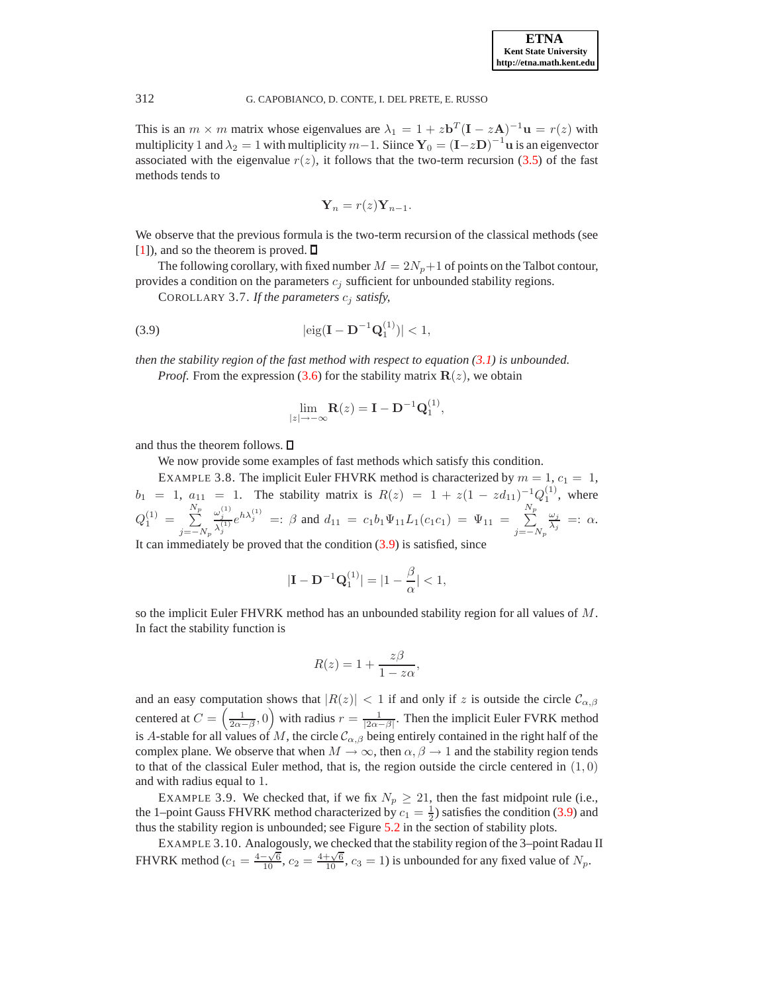This is an  $m \times m$  matrix whose eigenvalues are  $\lambda_1 = 1 + z \mathbf{b}^T (\mathbf{I} - z\mathbf{A})^{-1} \mathbf{u} = r(z)$  with multiplicity 1 and  $\lambda_2 = 1$  with multiplicity  $m-1$ . Siince  $Y_0 = (I - zD)^{-1}$  u is an eigenvector associated with the eigenvalue  $r(z)$ , it follows that the two-term recursion [\(3.5\)](#page-5-8) of the fast methods tends to

<span id="page-7-1"></span><span id="page-7-0"></span>
$$
\mathbf{Y}_n = r(z) \mathbf{Y}_{n-1}.
$$

We observe that the previous formula is the two-term recursion of the classical methods (see  $[1]$ , and so the theorem is proved.  $\Box$ 

The following corollary, with fixed number  $M = 2N_p + 1$  of points on the Talbot contour, provides a condition on the parameters  $c_j$  sufficient for unbounded stability regions.

COROLLARY 3.7. *If the parameters* c<sup>j</sup> *satisfy,*

(3.9) 
$$
|\text{eig}(\mathbf{I} - \mathbf{D}^{-1} \mathbf{Q}_1^{(1)})| < 1,
$$

*then the stability region of the fast method with respect to equation [\(3.1\)](#page-5-1) is unbounded.*

*Proof.* From the expression [\(3.6\)](#page-5-7) for the stability matrix  $\mathbf{R}(z)$ , we obtain

$$
\lim_{|z|\to-\infty} \mathbf{R}(z) = \mathbf{I} - \mathbf{D}^{-1} \mathbf{Q}_1^{(1)},
$$

and thus the theorem follows.  $\square$ 

We now provide some examples of fast methods which satisfy this condition.

<span id="page-7-2"></span>EXAMPLE 3.8. The implicit Euler FHVRK method is characterized by  $m = 1$ ,  $c_1 = 1$ ,  $b_1 = 1, a_{11} = 1$ . The stability matrix is  $R(z) = 1 + z(1 - zd_{11})^{-1}Q_1^{(1)}$ , where  $Q^{(1)}_1 =$  $\sum^{N_p}$  $j=-N_p$  $\omega_j^{(1)}$  $\frac{\omega_j^{(1)}}{\lambda_j^{(1)}} e^{h\lambda_j^{(1)}} =: \beta$  and  $d_{11} = c_1 b_1 \Psi_{11} L_1(c_1 c_1) = \Psi_{11} =$  $\sum^{N_p}$  $j=-N_p$  $\omega_j$  $\frac{\omega_j}{\lambda_j} =: \alpha.$ It can immediately be proved that the condition  $(3.9)$  is satisfied, since

$$
|\mathbf{I} - \mathbf{D}^{-1} \mathbf{Q}_1^{(1)}| = |1 - \frac{\beta}{\alpha}| < 1,
$$

so the implicit Euler FHVRK method has an unbounded stability region for all values of M. In fact the stability function is

$$
R(z) = 1 + \frac{z\beta}{1 - z\alpha},
$$

and an easy computation shows that  $|R(z)| < 1$  if and only if z is outside the circle  $\mathcal{C}_{\alpha,\beta}$ centered at  $C = \left(\frac{1}{2\alpha - \beta}, 0\right)$  with radius  $r = \frac{1}{|2\alpha - \beta|}$ . Then the implicit Euler FVRK method is A-stable for all values of M, the circle  $\mathcal{C}_{\alpha,\beta}$  being entirely contained in the right half of the complex plane. We observe that when  $M \to \infty$ , then  $\alpha, \beta \to 1$  and the stability region tends to that of the classical Euler method, that is, the region outside the circle centered in  $(1, 0)$ and with radius equal to 1.

<span id="page-7-3"></span>EXAMPLE 3.9. We checked that, if we fix  $N_p \ge 21$ , then the fast midpoint rule (i.e., the 1–point Gauss FHVRK method characterized by  $c_1 = \frac{1}{2}$ ) satisfies the condition [\(3.9\)](#page-7-0) and thus the stability region is unbounded; see Figure [5.2](#page-12-0) in the section of stability plots.

EXAMPLE 3.10. Analogously, we checked that the stability region of the 3–point Radau II FHVRK method ( $c_1 = \frac{4-\sqrt{6}}{10}$ ,  $c_2 = \frac{4+\sqrt{6}}{10}$ ,  $c_3 = 1$ ) is unbounded for any fixed value of  $N_p$ .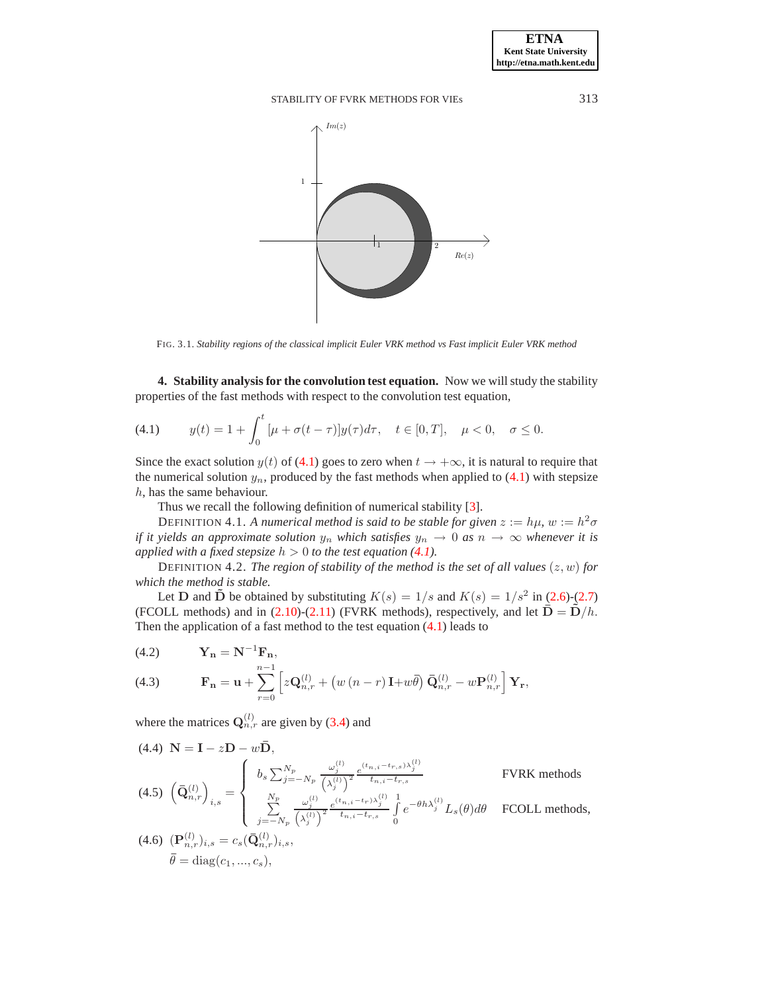

<span id="page-8-1"></span>FIG. 3.1. *Stability regions of the classical implicit Euler VRK method vs Fast implicit Euler VRK method*

<span id="page-8-0"></span>**4. Stability analysis for the convolution test equation.** Now we will study the stability properties of the fast methods with respect to the convolution test equation,

(4.1) 
$$
y(t) = 1 + \int_0^t [\mu + \sigma(t - \tau)] y(\tau) d\tau, \quad t \in [0, T], \quad \mu < 0, \quad \sigma \le 0.
$$

Since the exact solution  $y(t)$  of [\(4.1\)](#page-8-1) goes to zero when  $t \to +\infty$ , it is natural to require that the numerical solution  $y_n$ , produced by the fast methods when applied to [\(4.1\)](#page-8-1) with stepsize h, has the same behaviour.

<span id="page-8-4"></span>Thus we recall the following definition of numerical stability [\[3\]](#page-16-3).

DEFINITION 4.1. *A numerical method is said to be stable for given*  $z := h\mu$ ,  $w := h^2\sigma$ *if it yields an approximate solution*  $y_n$  *which satisfies*  $y_n \to 0$  *as*  $n \to \infty$  *whenever it is applied with a fixed stepsize*  $h > 0$  *to the test equation [\(4.1\)](#page-8-1).* 

DEFINITION 4.2. *The region of stability of the method is the set of all values*  $(z, w)$  *for which the method is stable.*

Let **D** and  $\tilde{\mathbf{D}}$  be obtained by substituting  $K(s) = 1/s$  and  $K(s) = 1/s^2$  in [\(2.6\)](#page-2-1)-[\(2.7\)](#page-2-2) (FCOLL methods) and in [\(2.10\)](#page-4-0)-[\(2.11\)](#page-4-2) (FVRK methods), respectively, and let  $\bar{\mathbf{D}} = \bar{\mathbf{D}}/h$ . Then the application of a fast method to the test equation  $(4.1)$  leads to

<span id="page-8-2"></span>
$$
(4.2) \qquad \mathbf{Y_n} = \mathbf{N}^{-1} \mathbf{F_n},
$$

(4.3) 
$$
\mathbf{F}_{\mathbf{n}} = \mathbf{u} + \sum_{r=0}^{n-1} \left[ z \mathbf{Q}_{n,r}^{(l)} + \left( w \left( n-r \right) \mathbf{I} + w \overline{\theta} \right) \overline{\mathbf{Q}}_{n,r}^{(l)} - w \mathbf{P}_{n,r}^{(l)} \right] \mathbf{Y}_{\mathbf{r}},
$$

where the matrices  $Q_{n,r}^{(l)}$  are given by [\(3.4\)](#page-5-3) and

<span id="page-8-3"></span>
$$
(4.4) \mathbf{N} = \mathbf{I} - z\mathbf{D} - w\mathbf{\bar{D}},
$$
\n
$$
(4.5) \left(\mathbf{\bar{Q}}_{n,r}^{(l)}\right)_{i,s} = \begin{cases} b_s \sum_{j=-N_p}^{N_p} \frac{\omega_j^{(l)}}{\left(\lambda_j^{(l)}\right)^2} \frac{e^{(t_{n,i}-t_{r,s})\lambda_j^{(l)}}}{t_{n,i}-t_{r,s}} & \text{FVRK methods} \\ \sum_{j=-N_p}^{N_p} \frac{\omega_j^{(l)}}{\left(\lambda_j^{(l)}\right)^2} \frac{e^{(t_{n,i}-t_{r})\lambda_j^{(l)}}}{t_{n,i}-t_{r,s}} \int_0^1 e^{-\theta h \lambda_j^{(l)}} L_s(\theta) d\theta & \text{FCOLL methods,} \end{cases}
$$

(4.6) 
$$
(\mathbf{P}_{n,r}^{(l)})_{i,s} = c_s(\bar{\mathbf{Q}}_{n,r}^{(l)})_{i,s},
$$
  
\n $\bar{\theta} = \text{diag}(c_1, ..., c_s),$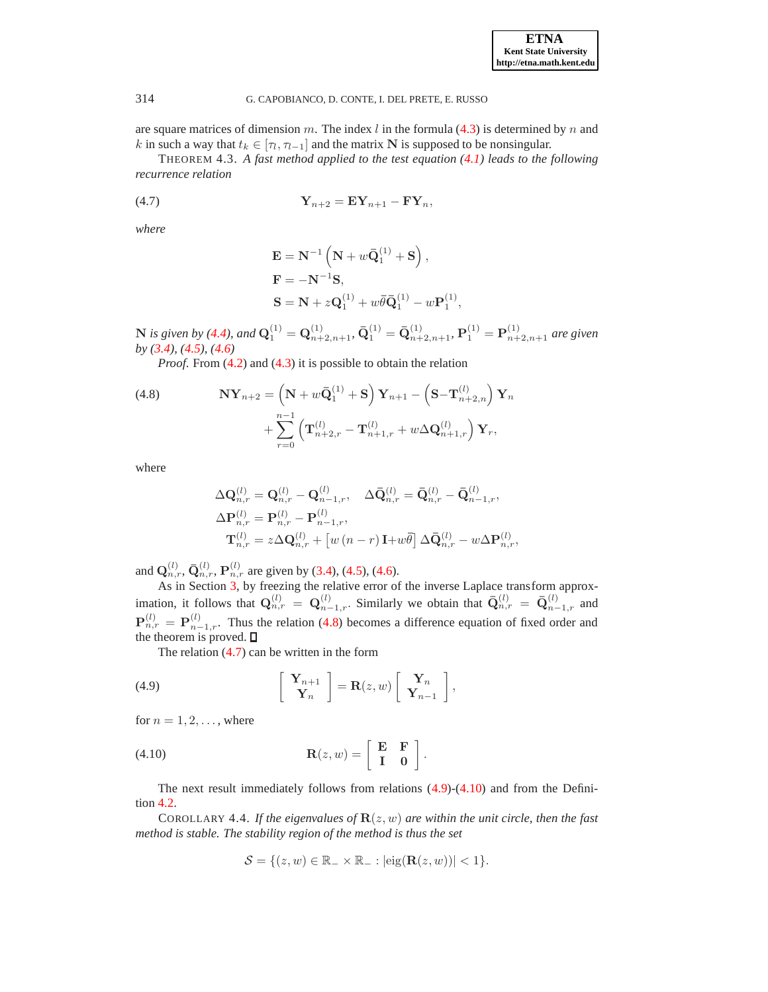are square matrices of dimension m. The index l in the formula  $(4.3)$  is determined by n and k in such a way that  $t_k \in [\tau_1, \tau_{i-1}]$  and the matrix N is supposed to be nonsingular.

<span id="page-9-1"></span>THEOREM 4.3. *A fast method applied to the test equation [\(4.1\)](#page-8-1) leads to the following recurrence relation*

$$
\mathbf{Y}_{n+2} = \mathbf{E} \mathbf{Y}_{n+1} - \mathbf{F} \mathbf{Y}_n,
$$

*where*

$$
\mathbf{E} = \mathbf{N}^{-1} \left( \mathbf{N} + w \bar{\mathbf{Q}}_1^{(1)} + \mathbf{S} \right),
$$
  

$$
\mathbf{F} = -\mathbf{N}^{-1} \mathbf{S},
$$
  

$$
\mathbf{S} = \mathbf{N} + z \mathbf{Q}_1^{(1)} + w \bar{\theta} \bar{\mathbf{Q}}_1^{(1)} - w \mathbf{P}_1^{(1)}
$$

,

 ${\bf N}$  is given by [\(4.4\)](#page-8-3), and  ${\bf Q}^{(1)}_1={\bf Q}^{(1)}_{n+2,n+1},$   $\bar{\bf Q}^{(1)}_1=\bar{\bf Q}^{(1)}_{n+2,n+1},$   ${\bf P}^{(1)}_1={\bf P}^{(1)}_{n+2,n+1}$  are given *by [\(3.4\)](#page-5-3), [\(4.5\)](#page-8-3), [\(4.6\)](#page-8-3)*

*Proof.* From [\(4.2\)](#page-8-2) and [\(4.3\)](#page-8-2) it is possible to obtain the relation

<span id="page-9-0"></span>(4.8) 
$$
\mathbf{N} \mathbf{Y}_{n+2} = \left( \mathbf{N} + w \bar{\mathbf{Q}}_1^{(1)} + \mathbf{S} \right) \mathbf{Y}_{n+1} - \left( \mathbf{S} - \mathbf{T}_{n+2,n}^{(l)} \right) \mathbf{Y}_n + \sum_{r=0}^{n-1} \left( \mathbf{T}_{n+2,r}^{(l)} - \mathbf{T}_{n+1,r}^{(l)} + w \Delta \mathbf{Q}_{n+1,r}^{(l)} \right) \mathbf{Y}_r,
$$

where

$$
\begin{aligned} & \Delta \mathbf{Q}_{n,r}^{(l)} = \mathbf{Q}_{n,r}^{(l)} - \mathbf{Q}_{n-1,r}^{(l)}, \quad \Delta \bar{\mathbf{Q}}_{n,r}^{(l)} = \bar{\mathbf{Q}}_{n,r}^{(l)} - \bar{\mathbf{Q}}_{n-1,r}^{(l)}, \\ & \Delta \mathbf{P}_{n,r}^{(l)} = \mathbf{P}_{n,r}^{(l)} - \mathbf{P}_{n-1,r}^{(l)}, \\ & \mathbf{T}_{n,r}^{(l)} = z \Delta \mathbf{Q}_{n,r}^{(l)} + \left[ w \left( n-r \right) \mathbf{I} + w \bar{\theta} \right] \Delta \bar{\mathbf{Q}}_{n,r}^{(l)} - w \Delta \mathbf{P}_{n,r}^{(l)}, \end{aligned}
$$

and  $\mathbf{Q}_{n,r}^{(l)}$ ,  $\bar{\mathbf{Q}}_{n,r}^{(l)}$ ,  $\mathbf{P}_{n,r}^{(l)}$  are given by [\(3.4\)](#page-5-3), [\(4.5\)](#page-8-3), [\(4.6\)](#page-8-3).

As in Section [3,](#page-5-0) by freezing the relative error of the inverse Laplace transform approximation, it follows that  $\mathbf{Q}_{n,r}^{(l)} = \mathbf{Q}_{n-1,r}^{(l)}$ . Similarly we obtain that  $\bar{\mathbf{Q}}_{n,r}^{(l)} = \bar{\mathbf{Q}}_{n-1,r}^{(l)}$  and  $\mathbf{P}_{n,r}^{(l)} = \mathbf{P}_{n-1,r}^{(l)}$ . Thus the relation [\(4.8\)](#page-9-0) becomes a difference equation of fixed order and the theorem is proved.  $\square$ 

<span id="page-9-2"></span>The relation [\(4.7\)](#page-9-1) can be written in the form

(4.9) 
$$
\begin{bmatrix} \mathbf{Y}_{n+1} \\ \mathbf{Y}_n \end{bmatrix} = \mathbf{R}(z, w) \begin{bmatrix} \mathbf{Y}_n \\ \mathbf{Y}_{n-1} \end{bmatrix},
$$

<span id="page-9-3"></span>for  $n = 1, 2, \ldots$ , where

(4.10) 
$$
\mathbf{R}(z,w) = \begin{bmatrix} \mathbf{E} & \mathbf{F} \\ \mathbf{I} & \mathbf{0} \end{bmatrix}.
$$

<span id="page-9-4"></span>The next result immediately follows from relations  $(4.9)-(4.10)$  $(4.9)-(4.10)$  and from the Definition [4.2.](#page-8-4)

COROLLARY 4.4. *If the eigenvalues of*  $\mathbf{R}(z, w)$  *are within the unit circle, then the fast method is stable. The stability region of the method is thus the set*

$$
\mathcal{S} = \{ (z, w) \in \mathbb{R}_{-} \times \mathbb{R}_{-} : |\text{eig}(\mathbf{R}(z, w))| < 1 \}.
$$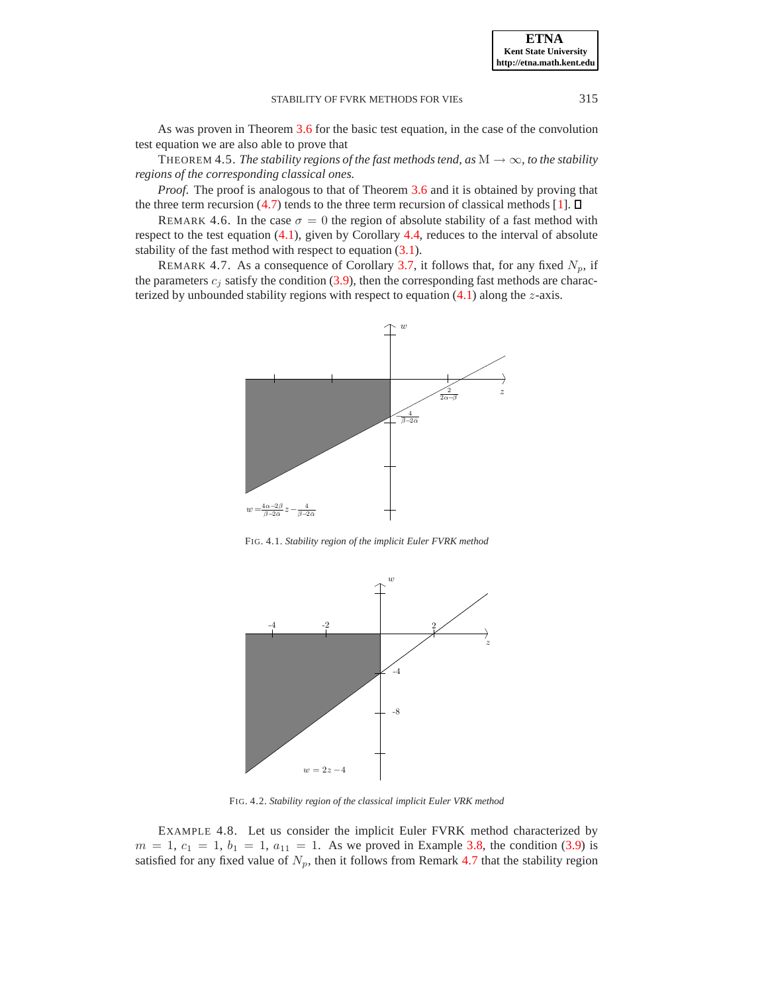As was proven in Theorem [3.6](#page-6-2) for the basic test equation, in the case of the convolution test equation we are also able to prove that

THEOREM 4.5. *The stability regions of the fast methods tend, as*  $M \rightarrow \infty$ *, to the stability regions of the corresponding classical ones.*

*Proof.* The proof is analogous to that of Theorem [3.6](#page-6-2) and it is obtained by proving that the three term recursion [\(4.7\)](#page-9-1) tends to the three term recursion of classical methods [\[1\]](#page-16-1).  $\Box$ 

REMARK 4.6. In the case  $\sigma = 0$  the region of absolute stability of a fast method with respect to the test equation [\(4.1\)](#page-8-1), given by Corollary [4.4,](#page-9-4) reduces to the interval of absolute stability of the fast method with respect to equation [\(3.1\)](#page-5-1).

REMARK 4.7. As a consequence of Corollary [3.7,](#page-7-1) it follows that, for any fixed  $N_p$ , if the parameters  $c_j$  satisfy the condition [\(3.9\)](#page-7-0), then the corresponding fast methods are characterized by unbounded stability regions with respect to equation  $(4.1)$  along the  $z$ -axis.

<span id="page-10-0"></span>

FIG. 4.1. *Stability region of the implicit Euler FVRK method*



FIG. 4.2. *Stability region of the classical implicit Euler VRK method*

EXAMPLE 4.8. Let us consider the implicit Euler FVRK method characterized by  $m = 1, c_1 = 1, b_1 = 1, a_{11} = 1$ . As we proved in Example [3.8,](#page-7-2) the condition [\(3.9\)](#page-7-0) is satisfied for any fixed value of  $N_p$ , then it follows from Remark [4.7](#page-10-0) that the stability region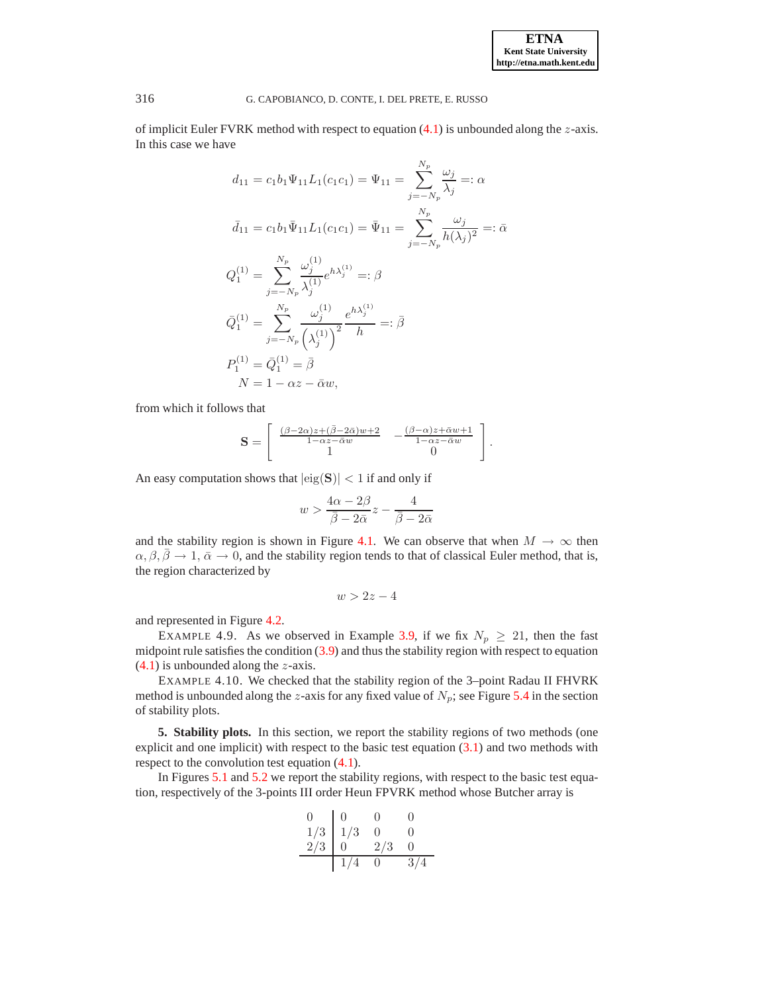**ETNA Kent State University http://etna.math.kent.edu**

#### 316 G. CAPOBIANCO, D. CONTE, I. DEL PRETE, E. RUSSO

of implicit Euler FVRK method with respect to equation  $(4.1)$  is unbounded along the z-axis. In this case we have

$$
d_{11} = c_1 b_1 \Psi_{11} L_1(c_1 c_1) = \Psi_{11} = \sum_{j=-N_p}^{N_p} \frac{\omega_j}{\lambda_j} =: \alpha
$$
  

$$
\bar{d}_{11} = c_1 b_1 \bar{\Psi}_{11} L_1(c_1 c_1) = \bar{\Psi}_{11} = \sum_{j=-N_p}^{N_p} \frac{\omega_j}{h(\lambda_j)^2} =: \bar{\alpha}
$$
  

$$
Q_1^{(1)} = \sum_{j=-N_p}^{N_p} \frac{\omega_j^{(1)}}{\lambda_j^{(1)}} e^{h\lambda_j^{(1)}} =: \beta
$$
  

$$
\bar{Q}_1^{(1)} = \sum_{j=-N_p}^{N_p} \frac{\omega_j^{(1)}}{(\lambda_j^{(1)})^2} \frac{e^{h\lambda_j^{(1)}}}{h} =: \bar{\beta}
$$
  

$$
P_1^{(1)} = \bar{Q}_1^{(1)} = \bar{\beta}
$$
  

$$
N = 1 - \alpha z - \bar{\alpha} w,
$$

from which it follows that

$$
\mathbf{S} = \begin{bmatrix} \frac{(\beta - 2\alpha)z + (\bar{\beta} - 2\bar{\alpha})w + 2}{1 - \alpha z - \bar{\alpha}w} & -\frac{(\beta - \alpha)z + \bar{\alpha}w + 1}{1 - \alpha z - \bar{\alpha}w} \\ 1 & 0 \end{bmatrix}.
$$

An easy computation shows that  $|\text{eig}(S)| < 1$  if and only if

$$
w > \frac{4\alpha - 2\beta}{\bar{\beta} - 2\bar{\alpha}}z - \frac{4}{\bar{\beta} - 2\bar{\alpha}}
$$

and the stability region is shown in Figure [4.1.](#page-12-1) We can observe that when  $M \to \infty$  then  $\alpha, \beta, \overline{\beta} \to 1, \overline{\alpha} \to 0$ , and the stability region tends to that of classical Euler method, that is, the region characterized by

$$
w > 2z - 4
$$

and represented in Figure [4.2.](#page-12-0)

EXAMPLE 4.9. As we observed in Example [3.9,](#page-7-3) if we fix  $N_p \ge 21$ , then the fast midpoint rule satisfies the condition [\(3.9\)](#page-7-0) and thus the stability region with respect to equation  $(4.1)$  is unbounded along the *z*-axis.

EXAMPLE 4.10. We checked that the stability region of the 3–point Radau II FHVRK method is unbounded along the z-axis for any fixed value of  $N_p$ ; see Figure [5.4](#page-13-0) in the section of stability plots.

<span id="page-11-0"></span>**5. Stability plots.** In this section, we report the stability regions of two methods (one explicit and one implicit) with respect to the basic test equation  $(3.1)$  and two methods with respect to the convolution test equation  $(4.1)$ .

In Figures [5.1](#page-12-1) and [5.2](#page-12-0) we report the stability regions, with respect to the basic test equation, respectively of the 3-points III order Heun FPVRK method whose Butcher array is

 $\mathbb{Z}^2$ 

$$
\begin{array}{cccccc}\n0 & 0 & 0 & 0 \\
1/3 & 1/3 & 0 & 0 \\
2/3 & 0 & 2/3 & 0 \\
\hline\n1/4 & 0 & 3/4\n\end{array}
$$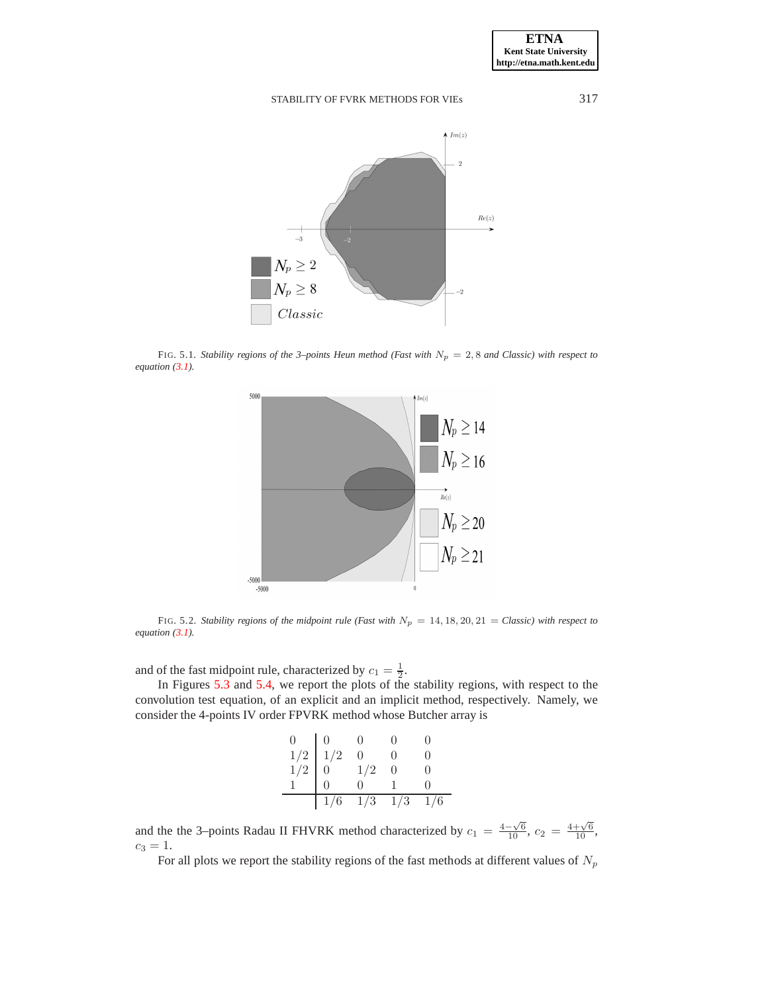

<span id="page-12-1"></span>FIG. 5.1. *Stability regions of the 3–points Heun method (Fast with*  $N_p = 2, 8$  *and Classic) with respect to equation [\(3.1\)](#page-5-1).*



<span id="page-12-0"></span>FIG. 5.2. *Stability regions of the midpoint rule (Fast with*  $N_p = 14, 18, 20, 21 = \text{Classic}$ ) with respect to *equation [\(3.1\)](#page-5-1).*

and of the fast midpoint rule, characterized by  $c_1 = \frac{1}{2}$ .

In Figures [5.3](#page-13-1) and [5.4,](#page-13-0) we report the plots of the stability regions, with respect to the convolution test equation, of an explicit and an implicit method, respectively. Namely, we consider the 4-points IV order FPVRK method whose Butcher array is

|                                                                       | 1/6            | $1/3$ $1/3$     | 1/6 |
|-----------------------------------------------------------------------|----------------|-----------------|-----|
|                                                                       |                | 0               |     |
| $\begin{array}{c c} 0 & 0 \\ 1/2 & 1/2 \\ 1 & 0 \\ 1 & 0 \end{array}$ |                | 1/2             |     |
|                                                                       |                | $\overline{0}$  |     |
| $\overline{0}$                                                        | $\overline{0}$ | $\vert 0 \vert$ |     |

and the the 3–points Radau II FHVRK method characterized by  $c_1 = \frac{4-\sqrt{6}}{10}$ ,  $c_2 = \frac{4+\sqrt{6}}{10}$ ,  $c_3 = 1.$ 

For all plots we report the stability regions of the fast methods at different values of  $N_p$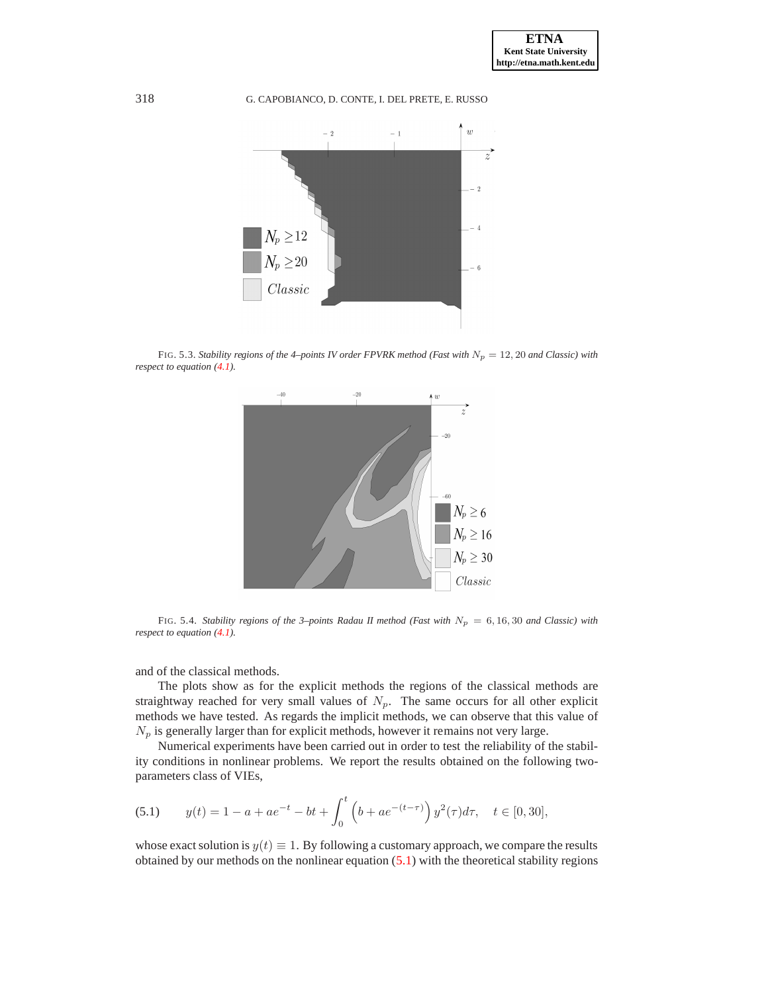

<span id="page-13-1"></span>FIG. 5.3. *Stability regions of the 4–points IV order FPVRK method (Fast with*  $N_p = 12, 20$  *and Classic) with respect to equation [\(4.1\)](#page-8-1).*



<span id="page-13-0"></span>FIG. 5.4. *Stability regions of the 3–points Radau II method (Fast with*  $N_p = 6, 16, 30$  *and Classic) with respect to equation [\(4.1\)](#page-8-1).*

and of the classical methods.

The plots show as for the explicit methods the regions of the classical methods are straightway reached for very small values of  $N_p$ . The same occurs for all other explicit methods we have tested. As regards the implicit methods, we can observe that this value of  $N_p$  is generally larger than for explicit methods, however it remains not very large.

Numerical experiments have been carried out in order to test the reliability of the stability conditions in nonlinear problems. We report the results obtained on the following twoparameters class of VIEs,

<span id="page-13-2"></span>(5.1) 
$$
y(t) = 1 - a + ae^{-t} - bt + \int_0^t \left(b + ae^{-(t-\tau)}\right) y^2(\tau) d\tau, \quad t \in [0, 30],
$$

whose exact solution is  $y(t) \equiv 1$ . By following a customary approach, we compare the results obtained by our methods on the nonlinear equation  $(5.1)$  with the theoretical stability regions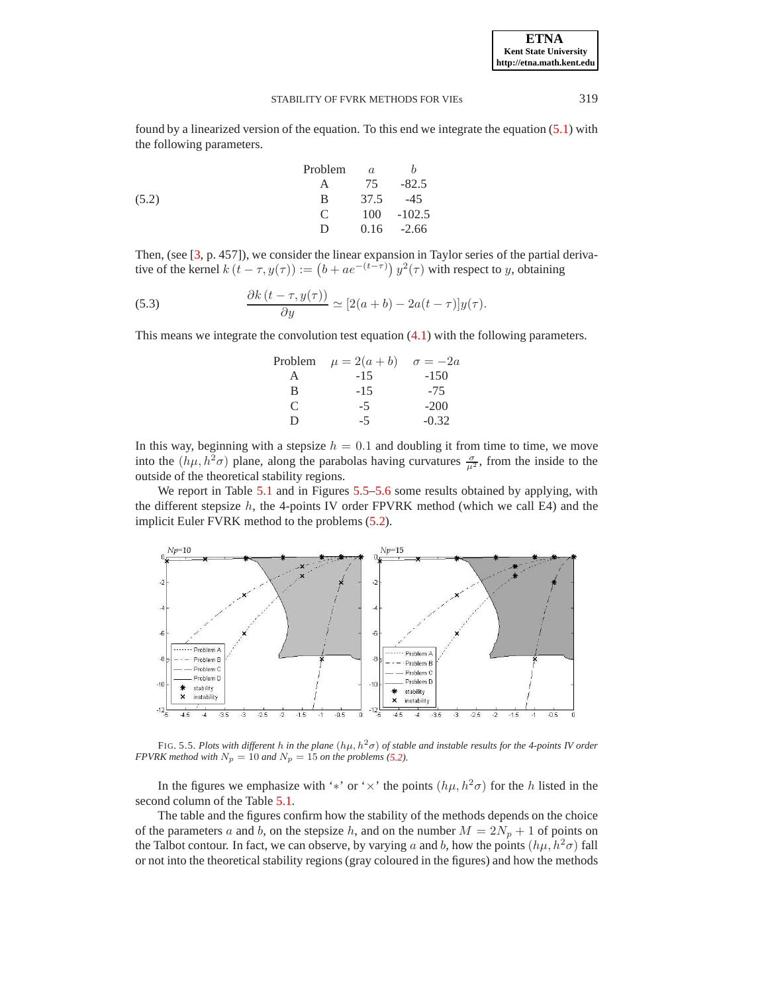**ETNA Kent State University http://etna.math.kent.edu**

#### STABILITY OF FVRK METHODS FOR VIEs 319

<span id="page-14-1"></span>found by a linearized version of the equation. To this end we integrate the equation [\(5.1\)](#page-13-2) with the following parameters.

|       | Problem       | a    | h             |
|-------|---------------|------|---------------|
|       | A             | 75   | $-82.5$       |
| (5.2) | B.            | 37.5 | $-45$         |
|       | $\mathcal{C}$ |      | $100 - 102.5$ |
|       | D.            |      | $0.16 -2.66$  |

Then, (see [\[3,](#page-16-3) p. 457]), we consider the linear expansion in Taylor series of the partial derivative of the kernel  $k(t - \tau, y(\tau)) := (b + ae^{-(t-\tau)}) y^2(\tau)$  with respect to y, obtaining

(5.3) 
$$
\frac{\partial k\left(t-\tau,y(\tau)\right)}{\partial y} \simeq [2(a+b)-2a(t-\tau)]y(\tau).
$$

This means we integrate the convolution test equation [\(4.1\)](#page-8-1) with the following parameters.

| Problem | $\mu = 2(a + b)$ | $\sigma = -2a$ |
|---------|------------------|----------------|
|         | -15              | $-150$         |
| R       | $-1.5$           | $-75$          |
| C       | -5               | $-200$         |
| Ð       | -5               | $-0.32$        |

In this way, beginning with a stepsize  $h = 0.1$  and doubling it from time to time, we move into the  $(h\mu, h^2\sigma)$  plane, along the parabolas having curvatures  $\frac{\sigma}{\mu^2}$ , from the inside to the outside of the theoretical stability regions.

We report in Table [5.1](#page-16-4) and in Figures [5.5](#page-14-0)[–5.6](#page-15-0) some results obtained by applying, with the different stepsize  $h$ , the 4-points IV order FPVRK method (which we call E4) and the implicit Euler FVRK method to the problems [\(5.2\)](#page-14-1).



<span id="page-14-0"></span>FIG. 5.5. Plots with different h in the plane  $(h\mu, h^2\sigma)$  of stable and instable results for the 4-points IV order *FPVRK method with*  $N_p = 10$  *and*  $N_p = 15$  *on the problems* [\(5.2\)](#page-14-1)*.* 

In the figures we emphasize with '\*' or ' $\times$ ' the points  $(h\mu, h^2\sigma)$  for the h listed in the second column of the Table [5.1.](#page-16-4)

The table and the figures confirm how the stability of the methods depends on the choice of the parameters a and b, on the stepsize h, and on the number  $M = 2N_p + 1$  of points on the Talbot contour. In fact, we can observe, by varying a and b, how the points  $(h\mu, h^2\sigma)$  fall or not into the theoretical stability regions (gray coloured in the figures) and how the methods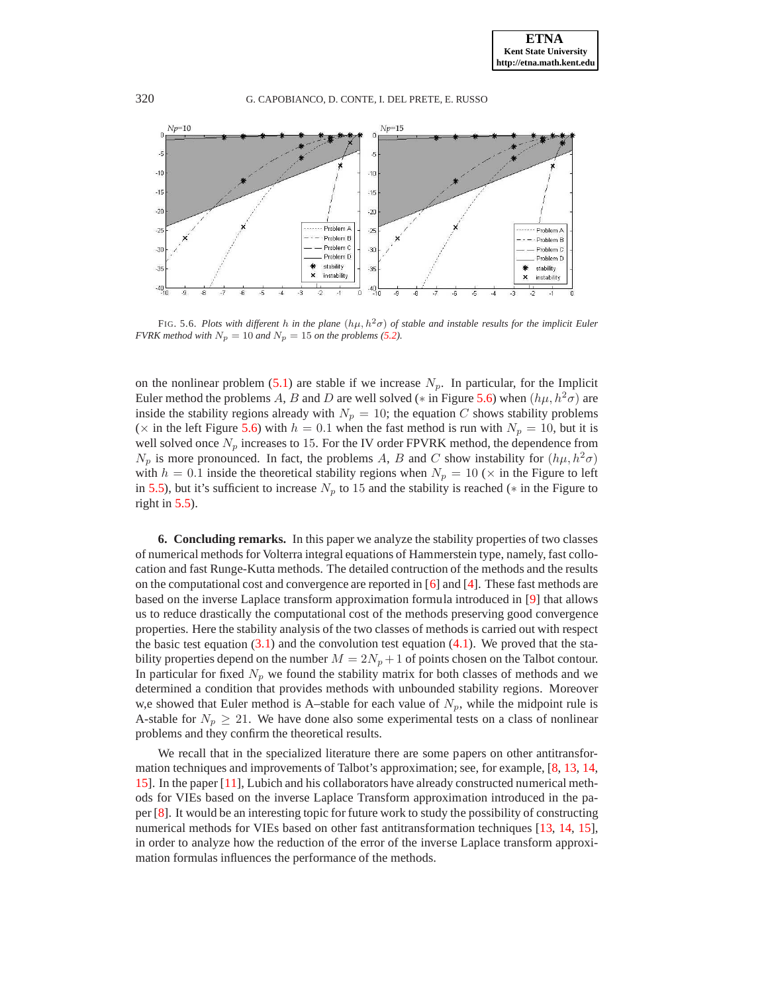

<span id="page-15-0"></span>FIG. 5.6. *Plots with different* h *in the plane*  $(h\mu, h^2\sigma)$  *of stable and instable results for the implicit Euler FVRK method with*  $N_p = 10$  *and*  $N_p = 15$  *on the problems* [\(5.2\)](#page-14-1)*.* 

on the nonlinear problem  $(5.1)$  are stable if we increase  $N_p$ . In particular, for the Implicit Euler method the problems A, B and D are well solved ( $*$  in Figure [5.6\)](#page-15-0) when  $(h\mu, h^2\sigma)$  are inside the stability regions already with  $N_p = 10$ ; the equation C shows stability problems ( $\times$  in the left Figure [5.6\)](#page-15-0) with  $h = 0.1$  when the fast method is run with  $N_p = 10$ , but it is well solved once  $N_p$  increases to 15. For the IV order FPVRK method, the dependence from  $N_p$  is more pronounced. In fact, the problems A, B and C show instability for  $(h\mu, h^2\sigma)$ with  $h = 0.1$  inside the theoretical stability regions when  $N_p = 10$  ( $\times$  in the Figure to left in [5.5\)](#page-14-0), but it's sufficient to increase  $N_p$  to 15 and the stability is reached ( $*$  in the Figure to right in [5.5\)](#page-14-0).

**6. Concluding remarks.** In this paper we analyze the stability properties of two classes of numerical methods for Volterra integral equations of Hammerstein type, namely, fast collocation and fast Runge-Kutta methods. The detailed contruction of the methods and the results on the computational cost and convergence are reported in  $[6]$  and  $[4]$ . These fast methods are based on the inverse Laplace transform approximation formula introduced in [\[9\]](#page-17-1) that allows us to reduce drastically the computational cost of the methods preserving good convergence properties. Here the stability analysis of the two classes of methods is carried out with respect the basic test equation  $(3.1)$  and the convolution test equation  $(4.1)$ . We proved that the stability properties depend on the number  $M = 2N_p + 1$  of points chosen on the Talbot contour. In particular for fixed  $N_p$  we found the stability matrix for both classes of methods and we determined a condition that provides methods with unbounded stability regions. Moreover w,e showed that Euler method is A–stable for each value of  $N_p$ , while the midpoint rule is A-stable for  $N_p \geq 21$ . We have done also some experimental tests on a class of nonlinear problems and they confirm the theoretical results.

We recall that in the specialized literature there are some papers on other antitransformation techniques and improvements of Talbot's approximation; see, for example, [\[8,](#page-17-5) [13,](#page-17-6) [14,](#page-17-7) [15\]](#page-17-8). In the paper [\[11\]](#page-17-10), Lubich and his collaborators have already constructed numerical methods for VIEs based on the inverse Laplace Transform approximation introduced in the paper [\[8\]](#page-17-5). It would be an interesting topic for future work to study the possibility of constructing numerical methods for VIEs based on other fast antitransformation techniques [\[13,](#page-17-6) [14,](#page-17-7) [15\]](#page-17-8), in order to analyze how the reduction of the error of the inverse Laplace transform approximation formulas influences the performance of the methods.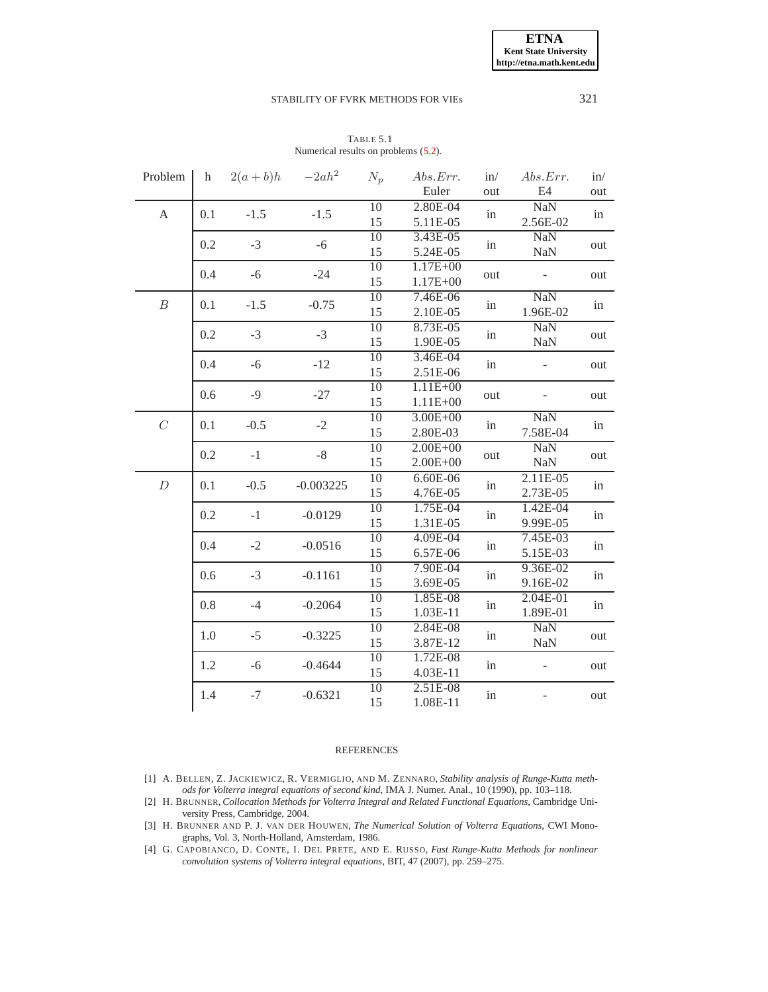| TABLE 5.1                            |  |  |  |  |  |
|--------------------------------------|--|--|--|--|--|
| Numerical results on problems (5.2). |  |  |  |  |  |

<span id="page-16-4"></span>

| Problem                   | h             | $2(a+b)h$ | $-2ah^2$    | $N_p$           | Abs. Err.    | in/ | Abs. Err.           | in/      |
|---------------------------|---------------|-----------|-------------|-----------------|--------------|-----|---------------------|----------|
|                           |               |           |             |                 | Euler        | out | E4                  | out      |
| $\boldsymbol{\mathsf{A}}$ | $-1.5$<br>0.1 |           | $-1.5$      | 10              | $2.80E-04$   | in  | $\overline{NaN}$    | in       |
|                           |               |           |             | 15              | 5.11E-05     |     | 2.56E-02            |          |
|                           | 0.2           | $-3$      | $-6$        | $\overline{10}$ | 3.43E-05     | in  | <b>NaN</b>          | out      |
|                           |               |           |             | 15              | 5.24E-05     |     | <b>NaN</b>          |          |
|                           | 0.4           | $-6$      | $-24$       | 10              | $1.17E + 00$ | out |                     | out      |
|                           |               |           |             | 15              | $1.17E + 00$ |     |                     |          |
| $\boldsymbol{B}$          | 0.1           | $-1.5$    | $-0.75$     | $\overline{10}$ | 7.46E-06     |     | <b>NaN</b>          |          |
|                           |               |           |             | 15              | 2.10E-05     | in  | 1.96E-02            | in       |
|                           |               |           |             | $\overline{10}$ | 8.73E-05     |     | <b>NaN</b>          |          |
|                           | 0.2           | $-3$      | $-3$        | 15              | 1.90E-05     | in  | NaN                 | out      |
|                           |               |           |             | $\overline{10}$ | 3.46E-04     |     |                     |          |
|                           | 0.4           | $-6$      | $-12$       | 15              | 2.51E-06     | in  |                     | out      |
|                           |               |           |             | $\overline{10}$ | $1.11E + 00$ |     |                     | out      |
|                           | $-9$<br>0.6   |           | $-27$       | 15              | $1.11E + 00$ | out |                     |          |
|                           |               |           |             | 10              | $3.00E + 00$ | in  | $\overline{NaN}$    | in       |
| $\cal C$                  | 0.1           | $-0.5$    | $-2$        | 15              | 2.80E-03     |     | 7.58E-04            |          |
|                           |               |           |             | 10              | $2.00E + 00$ | out | <b>NaN</b>          | out      |
|                           | 0.2           | $-1$      | $-8$        | 15              | $2.00E + 00$ |     | $\mbox{Na}\mbox{N}$ |          |
|                           |               |           | $-0.003225$ | $\overline{10}$ | $6.60E-06$   | in  | $2.11E-05$          | in       |
| $\boldsymbol{D}$          | 0.1           | $-0.5$    |             | 15              | 4.76E-05     |     | 2.73E-05            |          |
|                           |               |           |             | $\overline{10}$ | 1.75E-04     |     | $1.42E - 04$        |          |
|                           | 0.2           | $-1$      | $-0.0129$   | 15              | 1.31E-05     | in  | 9.99E-05            | in       |
|                           |               |           |             | $\overline{10}$ | 4.09E-04     |     | 7.45E-03            | in       |
|                           | 0.4           | $-2$      | $-0.0516$   | 15              | 6.57E-06     | in  | 5.15E-03            |          |
|                           |               |           |             | 10              | 7.90E-04     | in  | 9.36E-02            | in<br>in |
|                           | 0.6           | $-3$      | $-0.1161$   | 15              | 3.69E-05     |     | 9.16E-02            |          |
|                           |               |           |             | 10              | 1.85E-08     |     | $2.04E-01$          |          |
|                           | 0.8           | $-4$      | $-0.2064$   | 15              | 1.03E-11     | in  | 1.89E-01            |          |
|                           |               |           |             | 10              | 2.84E-08     |     | <b>NaN</b>          |          |
|                           | 1.0           | $-5$      | $-0.3225$   | 15              | 3.87E-12     | in  | NaN                 | out      |
|                           |               |           |             | 10              |              |     |                     |          |
|                           | 1.2           | $-6$      | $-0.4644$   | 15              | 1.72E-08     | in  |                     | out      |
|                           |               |           |             |                 | 4.03E-11     |     |                     |          |
|                           | 1.4           | $-7$      | $-0.6321$   | 10              | 2.51E-08     | in  |                     | out      |
|                           |               |           |             | 15              | 1.08E-11     |     |                     |          |

### REFERENCES

- <span id="page-16-1"></span>[1] A. BELLEN, Z. JACKIEWICZ, R. VERMIGLIO, AND M. ZENNARO, *Stability analysis of Runge-Kutta methods for Volterra integral equations of second kind*, IMA J. Numer. Anal., 10 (1990), pp. 103–118.
- <span id="page-16-2"></span>[2] H. BRUNNER, *Collocation Methods for Volterra Integral and Related Functional Equations*, Cambridge University Press, Cambridge, 2004.
- <span id="page-16-3"></span>[3] H. BRUNNER AND P. J. VAN DER HOUWEN, *The Numerical Solution of Volterra Equations*, CWI Monographs, Vol. 3, North-Holland, Amsterdam, 1986.
- <span id="page-16-0"></span>[4] G. CAPOBIANCO, D. CONTE, I. DEL PRETE, AND E. RUSSO, *Fast Runge-Kutta Methods for nonlinear convolution systems of Volterra integral equations*, BIT, 47 (2007), pp. 259–275.